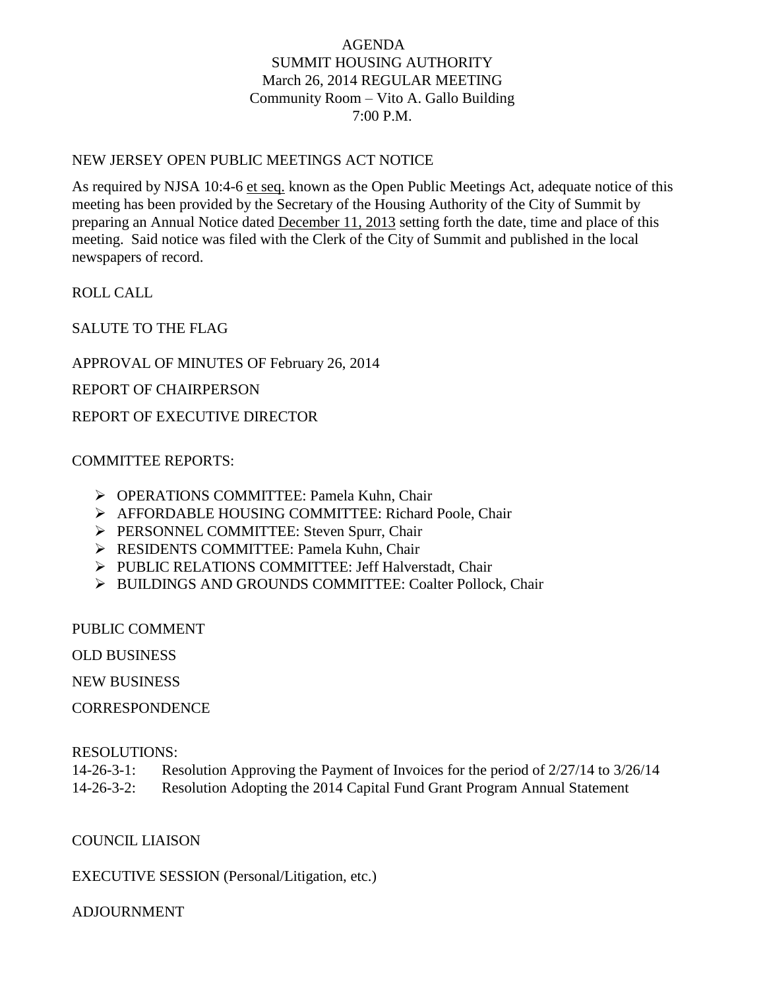## AGENDA SUMMIT HOUSING AUTHORITY March 26, 2014 REGULAR MEETING Community Room – Vito A. Gallo Building 7:00 P.M.

#### NEW JERSEY OPEN PUBLIC MEETINGS ACT NOTICE

As required by NJSA 10:4-6 et seq. known as the Open Public Meetings Act, adequate notice of this meeting has been provided by the Secretary of the Housing Authority of the City of Summit by preparing an Annual Notice dated December 11, 2013 setting forth the date, time and place of this meeting. Said notice was filed with the Clerk of the City of Summit and published in the local newspapers of record.

ROLL CALL

SALUTE TO THE FLAG

APPROVAL OF MINUTES OF February 26, 2014

REPORT OF CHAIRPERSON

REPORT OF EXECUTIVE DIRECTOR

### COMMITTEE REPORTS:

- OPERATIONS COMMITTEE: Pamela Kuhn, Chair
- AFFORDABLE HOUSING COMMITTEE: Richard Poole, Chair
- PERSONNEL COMMITTEE: Steven Spurr, Chair
- RESIDENTS COMMITTEE: Pamela Kuhn, Chair
- PUBLIC RELATIONS COMMITTEE: Jeff Halverstadt, Chair
- > BUILDINGS AND GROUNDS COMMITTEE: Coalter Pollock, Chair

PUBLIC COMMENT

OLD BUSINESS

NEW BUSINESS

**CORRESPONDENCE** 

#### RESOLUTIONS:

| $14 - 26 - 3 - 1$ : | Resolution Approving the Payment of Invoices for the period of $2/27/14$ to $3/26/14$ |
|---------------------|---------------------------------------------------------------------------------------|
| $14 - 26 - 3 - 2$ : | Resolution Adopting the 2014 Capital Fund Grant Program Annual Statement              |

## COUNCIL LIAISON

EXECUTIVE SESSION (Personal/Litigation, etc.)

## ADJOURNMENT